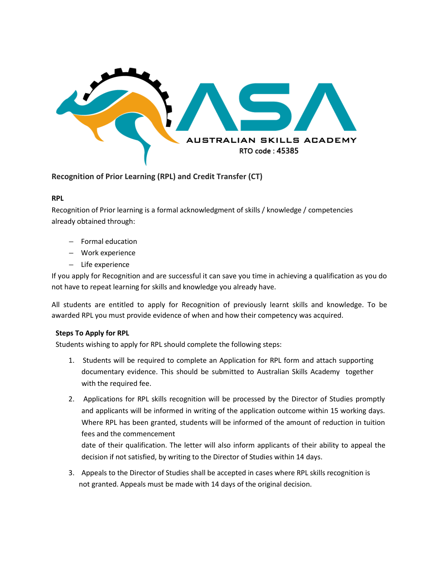

# **Recognition of Prior Learning (RPL) and Credit Transfer (CT)**

### **RPL**

Recognition of Prior learning is a formal acknowledgment of skills / knowledge / competencies already obtained through:

- − Formal education
- − Work experience
- − Life experience

If you apply for Recognition and are successful it can save you time in achieving a qualification as you do not have to repeat learning for skills and knowledge you already have.

All students are entitled to apply for Recognition of previously learnt skills and knowledge. To be awarded RPL you must provide evidence of when and how their competency was acquired.

### **Steps To Apply for RPL**

Students wishing to apply for RPL should complete the following steps:

- 1. Students will be required to complete an Application for RPL form and attach supporting documentary evidence. This should be submitted to Australian Skills Academy together with the required fee.
- 2. Applications for RPL skills recognition will be processed by the Director of Studies promptly and applicants will be informed in writing of the application outcome within 15 working days. Where RPL has been granted, students will be informed of the amount of reduction in tuition fees and the commencement

date of their qualification. The letter will also inform applicants of their ability to appeal the decision if not satisfied, by writing to the Director of Studies within 14 days.

3. Appeals to the Director of Studies shall be accepted in cases where RPL skills recognition is not granted. Appeals must be made with 14 days of the original decision.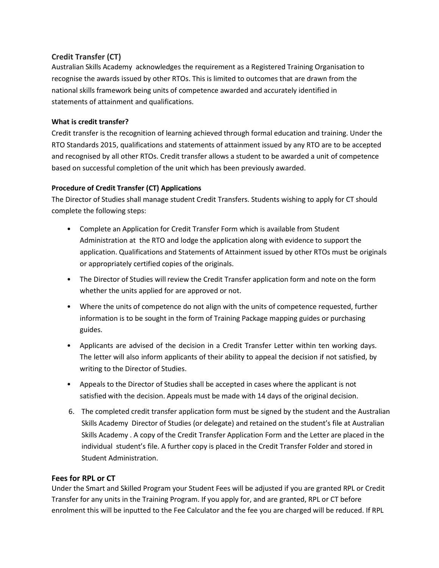# **Credit Transfer (CT)**

Australian Skills Academy acknowledges the requirement as a Registered Training Organisation to recognise the awards issued by other RTOs. This is limited to outcomes that are drawn from the national skills framework being units of competence awarded and accurately identified in statements of attainment and qualifications.

### **What is credit transfer?**

Credit transfer is the recognition of learning achieved through formal education and training. Under the RTO Standards 2015, qualifications and statements of attainment issued by any RTO are to be accepted and recognised by all other RTOs. Credit transfer allows a student to be awarded a unit of competence based on successful completion of the unit which has been previously awarded.

# **Procedure of Credit Transfer (CT) Applications**

The Director of Studies shall manage student Credit Transfers. Students wishing to apply for CT should complete the following steps:

- Complete an Application for Credit Transfer Form which is available from Student Administration at the RTO and lodge the application along with evidence to support the application. Qualifications and Statements of Attainment issued by other RTOs must be originals or appropriately certified copies of the originals.
- The Director of Studies will review the Credit Transfer application form and note on the form whether the units applied for are approved or not.
- Where the units of competence do not align with the units of competence requested, further information is to be sought in the form of Training Package mapping guides or purchasing guides.
- Applicants are advised of the decision in a Credit Transfer Letter within ten working days. The letter will also inform applicants of their ability to appeal the decision if not satisfied, by writing to the Director of Studies.
- Appeals to the Director of Studies shall be accepted in cases where the applicant is not satisfied with the decision. Appeals must be made with 14 days of the original decision.
- 6. The completed credit transfer application form must be signed by the student and the Australian Skills Academy Director of Studies (or delegate) and retained on the student's file at Australian Skills Academy . A copy of the Credit Transfer Application Form and the Letter are placed in the individual student's file. A further copy is placed in the Credit Transfer Folder and stored in Student Administration.

# **Fees for RPL or CT**

Under the Smart and Skilled Program your Student Fees will be adjusted if you are granted RPL or Credit Transfer for any units in the Training Program. If you apply for, and are granted, RPL or CT before enrolment this will be inputted to the Fee Calculator and the fee you are charged will be reduced. If RPL